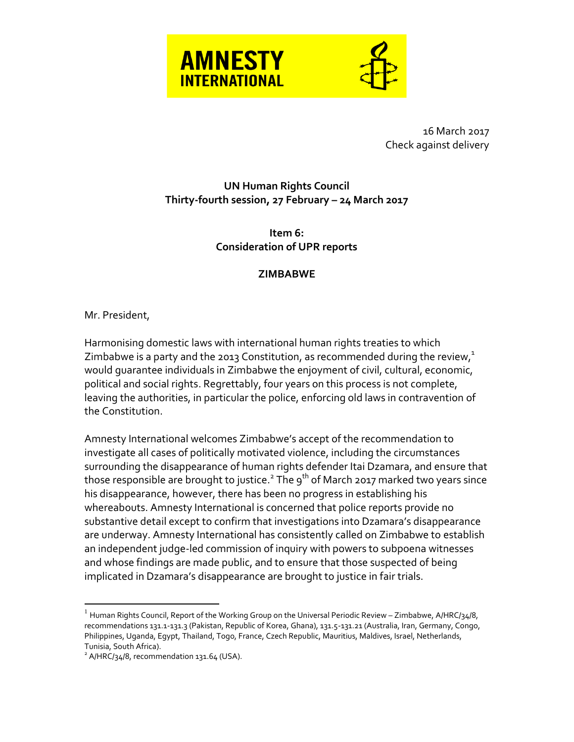

16 March 2017 Check against delivery

## **UN Human Rights Council Thirty-fourth session, 27 February – 24 March 2017**

**Item 6: Consideration of UPR reports**

## **ZIMBABWE**

Mr. President,

Harmonising domestic laws with international human rights treaties to which Zimbabwe is a party and the 2013 Constitution, as recommended during the review, $1$ would guarantee individuals in Zimbabwe the enjoyment of civil, cultural, economic, political and social rights. Regrettably, four years on this process is not complete, leaving the authorities, in particular the police, enforcing old laws in contravention of the Constitution.

Amnesty International welcomes Zimbabwe's accept of the recommendation to investigate all cases of politically motivated violence, including the circumstances surrounding the disappearance of human rights defender Itai Dzamara, and ensure that those responsible are brought to justice. $^{\text{2}}$  The 9 $^{\text{th}}$  of March 2017 marked two years since his disappearance, however, there has been no progress in establishing his whereabouts. Amnesty International is concerned that police reports provide no substantive detail except to confirm that investigations into Dzamara's disappearance are underway. Amnesty International has consistently called on Zimbabwe to establish an independent judge-led commission of inquiry with powers to subpoena witnesses and whose findings are made public, and to ensure that those suspected of being implicated in Dzamara's disappearance are brought to justice in fair trials.

 $\overline{a}$ 

 $^{\rm 1}$  Human Rights Council, Report of the Working Group on the Universal Periodic Review – Zimbabwe, A/HRC/34/8, recommendations 131.1-131.3 (Pakistan, Republic of Korea, Ghana), 131.5-131.21 (Australia, Iran, Germany, Congo, Philippines, Uganda, Egypt, Thailand, Togo, France, Czech Republic, Mauritius, Maldives, Israel, Netherlands, Tunisia, South Africa).

 $^{2}$  A/HRC/34/8, recommendation 131.64 (USA).